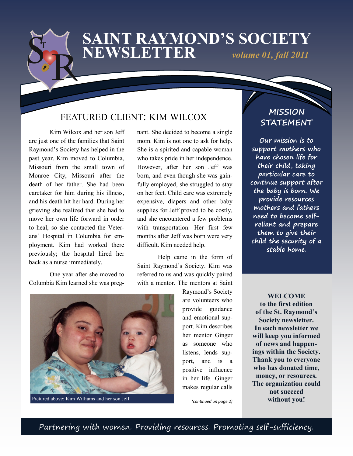### **SAINT RAYMOND'S SOCIETY NEWSLETTER** *volume 01, fall 2011*

### FEATURED CLIENT: KIM WILCOX

Kim Wilcox and her son Jeff are just one of the families that Saint Raymond's Society has helped in the past year. Kim moved to Columbia, Missouri from the small town of Monroe City, Missouri after the death of her father. She had been caretaker for him during his illness, and his death hit her hard. During her grieving she realized that she had to move her own life forward in order to heal, so she contacted the Veterans' Hospital in Columbia for employment. Kim had worked there previously; the hospital hired her back as a nurse immediately.

One year after she moved to Columbia Kim learned she was pregnant. She decided to become a single mom. Kim is not one to ask for help. She is a spirited and capable woman who takes pride in her independence. However, after her son Jeff was born, and even though she was gainfully employed, she struggled to stay on her feet. Child care was extremely expensive, diapers and other baby supplies for Jeff proved to be costly, and she encountered a few problems with transportation. Her first few months after Jeff was born were very difficult. Kim needed help.

Help came in the form of Saint Raymond's Society. Kim was referred to us and was quickly paired with a mentor. The mentors at Saint



Pictured above: Kim Williams and her son Jeff.

Raymond's Society are volunteers who provide guidance and emotional support. Kim describes her mentor Ginger as someone who listens, lends support, and is a positive influence in her life. Ginger makes regular calls

*(continued on page 2)*

 **MISSION STATEMENT**

**Our mission is to support mothers who have chosen life for their child, taking particular care to continue support after the baby is born. We provide resources mothers and fathers need to become selfreliant and prepare them to give their child the security of a stable home.**

**WELCOME to the first edition of the St. Raymond's Society newsletter. In each newsletter we will keep you informed of news and happenings within the Society. Thank you to everyone who has donated time, money, or resources. The organization could not succeed without you!**

Partnering with women. Providing resources. Promoting self-sufficiency.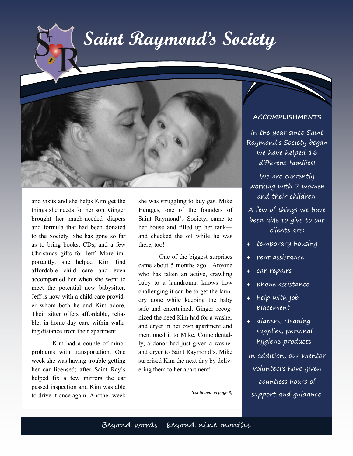## **Saint Raymond's Society**



and visits and she helps Kim get the things she needs for her son. Ginger brought her much-needed diapers and formula that had been donated to the Society. She has gone so far as to bring books, CDs, and a few Christmas gifts for Jeff. More importantly, she helped Kim find affordable child care and even accompanied her when she went to meet the potential new babysitter. Jeff is now with a child care provider whom both he and Kim adore. Their sitter offers affordable, reliable, in-home day care within walking distance from their apartment.

Kim had a couple of minor problems with transportation. One week she was having trouble getting her car licensed; after Saint Ray's helped fix a few mirrors the car passed inspection and Kim was able to drive it once again. Another week

she was struggling to buy gas. Mike Hentges, one of the founders of Saint Raymond's Society, came to her house and filled up her tank and checked the oil while he was there, too!

One of the biggest surprises came about 5 months ago. Anyone who has taken an active, crawling baby to a laundromat knows how challenging it can be to get the laundry done while keeping the baby safe and entertained. Ginger recognized the need Kim had for a washer and dryer in her own apartment and mentioned it to Mike. Coincidentally, a donor had just given a washer and dryer to Saint Raymond's. Mike surprised Kim the next day by delivering them to her apartment!

*(continued on page 3)*

#### **ACCOMPLISHMENTS**

In the year since Saint Raymond's Society began we have helped 16 different families!

We are currently working with 7 women and their children.

A few of things we have been able to give to our clients are:

- temporary housing
- rent assistance
- car repairs
- phone assistance
- help with job placement
- diapers, cleaning supplies, personal hygiene products

In addition, our mentor volunteers have given countless hours of support and guidance.

Beyond words… beyond nine months.